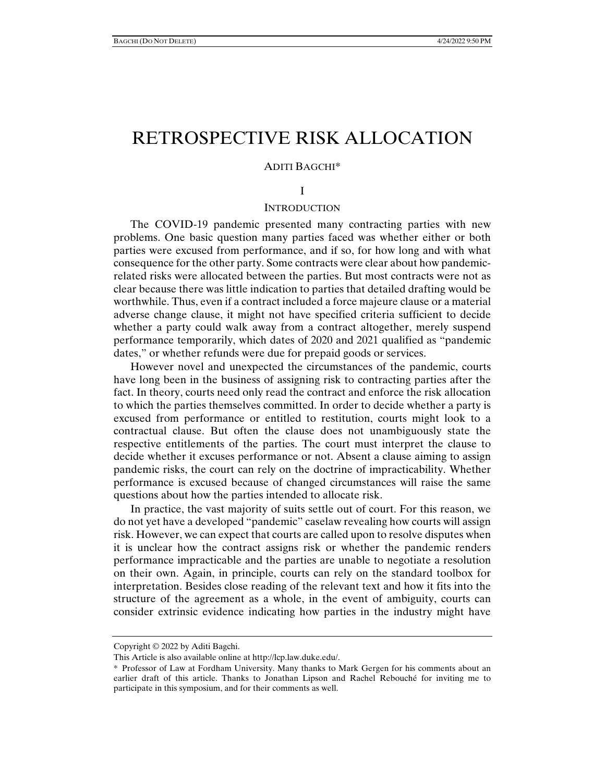# RETROSPECTIVE RISK ALLOCATION

#### ADITI BAGCHI\*

#### I

# **INTRODUCTION**

The COVID-19 pandemic presented many contracting parties with new problems. One basic question many parties faced was whether either or both parties were excused from performance, and if so, for how long and with what consequence for the other party. Some contracts were clear about how pandemicrelated risks were allocated between the parties. But most contracts were not as clear because there was little indication to parties that detailed drafting would be worthwhile. Thus, even if a contract included a force majeure clause or a material adverse change clause, it might not have specified criteria sufficient to decide whether a party could walk away from a contract altogether, merely suspend performance temporarily, which dates of 2020 and 2021 qualified as "pandemic dates," or whether refunds were due for prepaid goods or services.

However novel and unexpected the circumstances of the pandemic, courts have long been in the business of assigning risk to contracting parties after the fact. In theory, courts need only read the contract and enforce the risk allocation to which the parties themselves committed. In order to decide whether a party is excused from performance or entitled to restitution, courts might look to a contractual clause. But often the clause does not unambiguously state the respective entitlements of the parties. The court must interpret the clause to decide whether it excuses performance or not. Absent a clause aiming to assign pandemic risks, the court can rely on the doctrine of impracticability. Whether performance is excused because of changed circumstances will raise the same questions about how the parties intended to allocate risk.

In practice, the vast majority of suits settle out of court. For this reason, we do not yet have a developed "pandemic" caselaw revealing how courts will assign risk. However, we can expect that courts are called upon to resolve disputes when it is unclear how the contract assigns risk or whether the pandemic renders performance impracticable and the parties are unable to negotiate a resolution on their own. Again, in principle, courts can rely on the standard toolbox for interpretation. Besides close reading of the relevant text and how it fits into the structure of the agreement as a whole, in the event of ambiguity, courts can consider extrinsic evidence indicating how parties in the industry might have

Copyright © 2022 by Aditi Bagchi.

This Article is also available online at http://lcp.law.duke.edu/.

<sup>\*</sup> Professor of Law at Fordham University. Many thanks to Mark Gergen for his comments about an earlier draft of this article. Thanks to Jonathan Lipson and Rachel Rebouché for inviting me to participate in this symposium, and for their comments as well.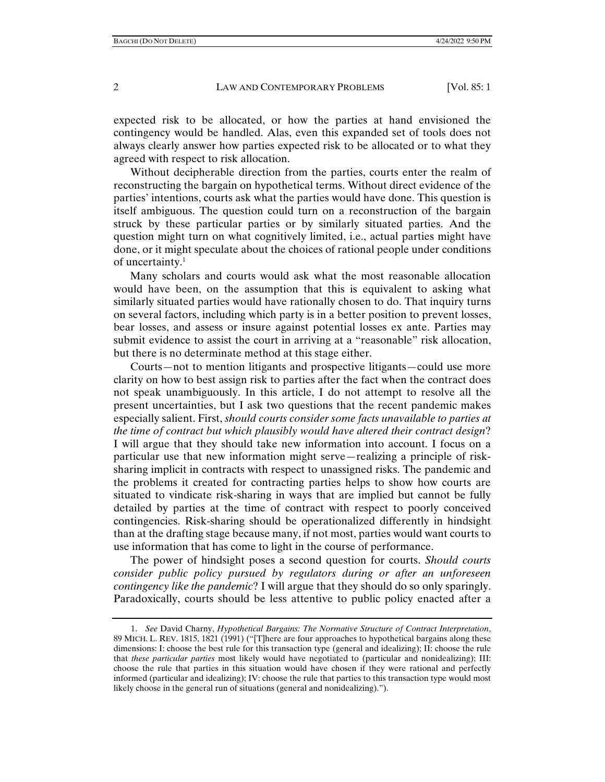expected risk to be allocated, or how the parties at hand envisioned the contingency would be handled. Alas, even this expanded set of tools does not always clearly answer how parties expected risk to be allocated or to what they agreed with respect to risk allocation.

Without decipherable direction from the parties, courts enter the realm of reconstructing the bargain on hypothetical terms. Without direct evidence of the parties' intentions, courts ask what the parties would have done. This question is itself ambiguous. The question could turn on a reconstruction of the bargain struck by these particular parties or by similarly situated parties. And the question might turn on what cognitively limited, i.e., actual parties might have done, or it might speculate about the choices of rational people under conditions of uncertainty.1

Many scholars and courts would ask what the most reasonable allocation would have been, on the assumption that this is equivalent to asking what similarly situated parties would have rationally chosen to do. That inquiry turns on several factors, including which party is in a better position to prevent losses, bear losses, and assess or insure against potential losses ex ante. Parties may submit evidence to assist the court in arriving at a "reasonable" risk allocation, but there is no determinate method at this stage either.

Courts—not to mention litigants and prospective litigants—could use more clarity on how to best assign risk to parties after the fact when the contract does not speak unambiguously. In this article, I do not attempt to resolve all the present uncertainties, but I ask two questions that the recent pandemic makes especially salient. First, *should courts consider some facts unavailable to parties at the time of contract but which plausibly would have altered their contract design*? I will argue that they should take new information into account. I focus on a particular use that new information might serve—realizing a principle of risksharing implicit in contracts with respect to unassigned risks. The pandemic and the problems it created for contracting parties helps to show how courts are situated to vindicate risk-sharing in ways that are implied but cannot be fully detailed by parties at the time of contract with respect to poorly conceived contingencies. Risk-sharing should be operationalized differently in hindsight than at the drafting stage because many, if not most, parties would want courts to use information that has come to light in the course of performance.

The power of hindsight poses a second question for courts. *Should courts consider public policy pursued by regulators during or after an unforeseen contingency like the pandemic*? I will argue that they should do so only sparingly. Paradoxically, courts should be less attentive to public policy enacted after a

 <sup>1.</sup> *See* David Charny, *Hypothetical Bargains: The Normative Structure of Contract Interpretation*, 89 MICH. L. REV. 1815, 1821 (1991) ("[T]here are four approaches to hypothetical bargains along these dimensions: I: choose the best rule for this transaction type (general and idealizing); II: choose the rule that *these particular parties* most likely would have negotiated to (particular and nonidealizing); III: choose the rule that parties in this situation would have chosen if they were rational and perfectly informed (particular and idealizing); IV: choose the rule that parties to this transaction type would most likely choose in the general run of situations (general and nonidealizing).").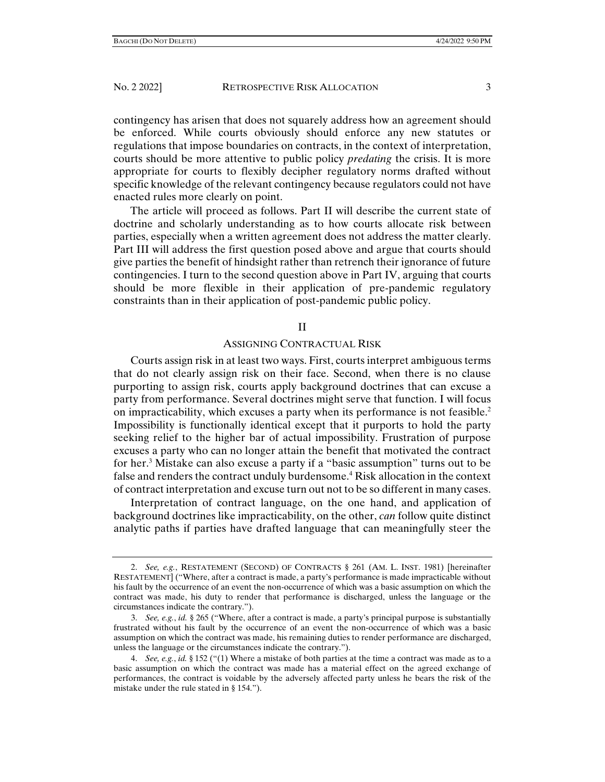contingency has arisen that does not squarely address how an agreement should be enforced. While courts obviously should enforce any new statutes or regulations that impose boundaries on contracts, in the context of interpretation, courts should be more attentive to public policy *predating* the crisis. It is more appropriate for courts to flexibly decipher regulatory norms drafted without specific knowledge of the relevant contingency because regulators could not have enacted rules more clearly on point.

The article will proceed as follows. Part II will describe the current state of doctrine and scholarly understanding as to how courts allocate risk between parties, especially when a written agreement does not address the matter clearly. Part III will address the first question posed above and argue that courts should give parties the benefit of hindsight rather than retrench their ignorance of future contingencies. I turn to the second question above in Part IV, arguing that courts should be more flexible in their application of pre-pandemic regulatory constraints than in their application of post-pandemic public policy.

#### II

### ASSIGNING CONTRACTUAL RISK

Courts assign risk in at least two ways. First, courts interpret ambiguous terms that do not clearly assign risk on their face. Second, when there is no clause purporting to assign risk, courts apply background doctrines that can excuse a party from performance. Several doctrines might serve that function. I will focus on impracticability, which excuses a party when its performance is not feasible.<sup>2</sup> Impossibility is functionally identical except that it purports to hold the party seeking relief to the higher bar of actual impossibility. Frustration of purpose excuses a party who can no longer attain the benefit that motivated the contract for her.3 Mistake can also excuse a party if a "basic assumption" turns out to be false and renders the contract unduly burdensome.<sup>4</sup> Risk allocation in the context of contract interpretation and excuse turn out not to be so different in many cases.

Interpretation of contract language, on the one hand, and application of background doctrines like impracticability, on the other, *can* follow quite distinct analytic paths if parties have drafted language that can meaningfully steer the

 <sup>2.</sup> *See, e.g.*, RESTATEMENT (SECOND) OF CONTRACTS § 261 (AM. L. INST. 1981) [hereinafter RESTATEMENT] ("Where, after a contract is made, a party's performance is made impracticable without his fault by the occurrence of an event the non-occurrence of which was a basic assumption on which the contract was made, his duty to render that performance is discharged, unless the language or the circumstances indicate the contrary.").

 <sup>3.</sup> *See, e.g.*, *id.* § 265 ("Where, after a contract is made, a party's principal purpose is substantially frustrated without his fault by the occurrence of an event the non-occurrence of which was a basic assumption on which the contract was made, his remaining duties to render performance are discharged, unless the language or the circumstances indicate the contrary.").

 <sup>4.</sup> *See, e.g.*, *id.* § 152 ("(1) Where a mistake of both parties at the time a contract was made as to a basic assumption on which the contract was made has a material effect on the agreed exchange of performances, the contract is voidable by the adversely affected party unless he bears the risk of the mistake under the rule stated in § 154.").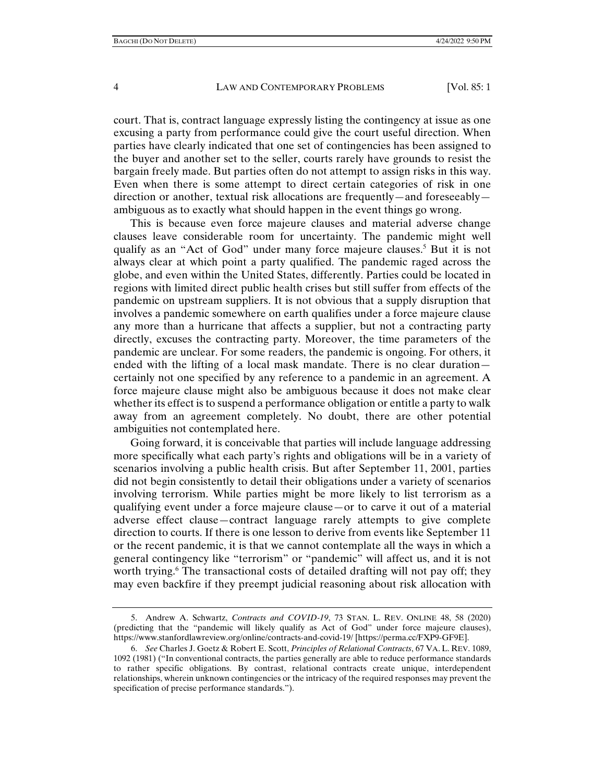court. That is, contract language expressly listing the contingency at issue as one excusing a party from performance could give the court useful direction. When parties have clearly indicated that one set of contingencies has been assigned to the buyer and another set to the seller, courts rarely have grounds to resist the bargain freely made. But parties often do not attempt to assign risks in this way. Even when there is some attempt to direct certain categories of risk in one direction or another, textual risk allocations are frequently—and foreseeably ambiguous as to exactly what should happen in the event things go wrong.

This is because even force majeure clauses and material adverse change clauses leave considerable room for uncertainty. The pandemic might well qualify as an "Act of God" under many force majeure clauses.<sup>5</sup> But it is not always clear at which point a party qualified. The pandemic raged across the globe, and even within the United States, differently. Parties could be located in regions with limited direct public health crises but still suffer from effects of the pandemic on upstream suppliers. It is not obvious that a supply disruption that involves a pandemic somewhere on earth qualifies under a force majeure clause any more than a hurricane that affects a supplier, but not a contracting party directly, excuses the contracting party. Moreover, the time parameters of the pandemic are unclear. For some readers, the pandemic is ongoing. For others, it ended with the lifting of a local mask mandate. There is no clear duration certainly not one specified by any reference to a pandemic in an agreement. A force majeure clause might also be ambiguous because it does not make clear whether its effect is to suspend a performance obligation or entitle a party to walk away from an agreement completely. No doubt, there are other potential ambiguities not contemplated here.

Going forward, it is conceivable that parties will include language addressing more specifically what each party's rights and obligations will be in a variety of scenarios involving a public health crisis. But after September 11, 2001, parties did not begin consistently to detail their obligations under a variety of scenarios involving terrorism. While parties might be more likely to list terrorism as a qualifying event under a force majeure clause—or to carve it out of a material adverse effect clause—contract language rarely attempts to give complete direction to courts. If there is one lesson to derive from events like September 11 or the recent pandemic, it is that we cannot contemplate all the ways in which a general contingency like "terrorism" or "pandemic" will affect us, and it is not worth trying.<sup>6</sup> The transactional costs of detailed drafting will not pay off; they may even backfire if they preempt judicial reasoning about risk allocation with

 <sup>5.</sup> Andrew A. Schwartz, *Contracts and COVID-19*, 73 STAN. L. REV. ONLINE 48, 58 (2020) (predicting that the "pandemic will likely qualify as Act of God" under force majeure clauses), https://www.stanfordlawreview.org/online/contracts-and-covid-19/ [https://perma.cc/FXP9-GF9E].

 <sup>6.</sup> *See* Charles J. Goetz & Robert E. Scott, *Principles of Relational Contracts*, 67 VA. L. REV. 1089, 1092 (1981) ("In conventional contracts, the parties generally are able to reduce performance standards to rather specific obligations. By contrast, relational contracts create unique, interdependent relationships, wherein unknown contingencies or the intricacy of the required responses may prevent the specification of precise performance standards.").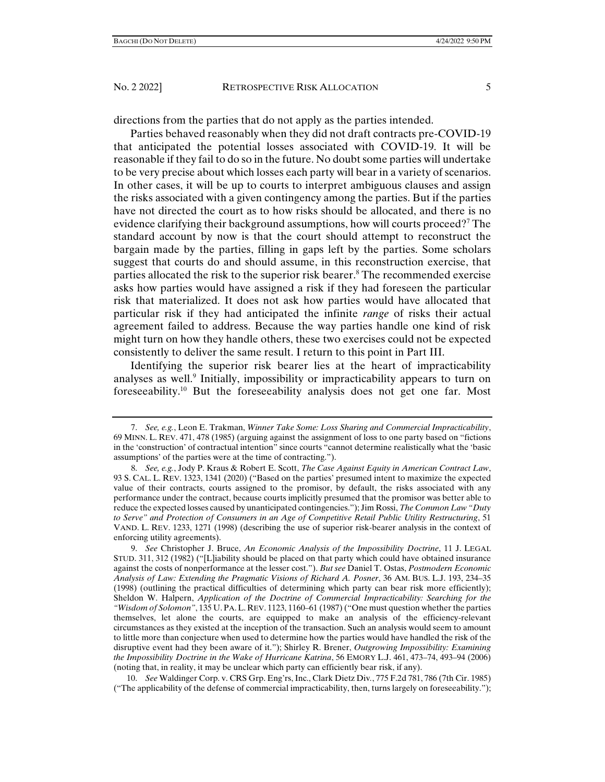directions from the parties that do not apply as the parties intended.

Parties behaved reasonably when they did not draft contracts pre-COVID-19 that anticipated the potential losses associated with COVID-19. It will be reasonable if they fail to do so in the future. No doubt some parties will undertake to be very precise about which losses each party will bear in a variety of scenarios. In other cases, it will be up to courts to interpret ambiguous clauses and assign the risks associated with a given contingency among the parties. But if the parties have not directed the court as to how risks should be allocated, and there is no evidence clarifying their background assumptions, how will courts proceed?7 The standard account by now is that the court should attempt to reconstruct the bargain made by the parties, filling in gaps left by the parties. Some scholars suggest that courts do and should assume, in this reconstruction exercise, that parties allocated the risk to the superior risk bearer.<sup>8</sup> The recommended exercise asks how parties would have assigned a risk if they had foreseen the particular risk that materialized. It does not ask how parties would have allocated that particular risk if they had anticipated the infinite *range* of risks their actual agreement failed to address. Because the way parties handle one kind of risk might turn on how they handle others, these two exercises could not be expected consistently to deliver the same result. I return to this point in Part III.

Identifying the superior risk bearer lies at the heart of impracticability analyses as well.<sup>9</sup> Initially, impossibility or impracticability appears to turn on foreseeability.10 But the foreseeability analysis does not get one far. Most

 10. *See* Waldinger Corp. v. CRS Grp. Eng'rs, Inc., Clark Dietz Div*.*, 775 F.2d 781, 786 (7th Cir. 1985) ("The applicability of the defense of commercial impracticability, then, turns largely on foreseeability.");

 <sup>7.</sup> *See, e.g.*, Leon E. Trakman, *Winner Take Some: Loss Sharing and Commercial Impracticability*, 69 MINN. L. REV. 471, 478 (1985) (arguing against the assignment of loss to one party based on "fictions in the 'construction' of contractual intention" since courts "cannot determine realistically what the 'basic assumptions' of the parties were at the time of contracting.").

 <sup>8.</sup> *See, e.g.*, Jody P. Kraus & Robert E. Scott, *The Case Against Equity in American Contract Law*, 93 S. CAL. L. REV. 1323, 1341 (2020) ("Based on the parties' presumed intent to maximize the expected value of their contracts, courts assigned to the promisor, by default, the risks associated with any performance under the contract, because courts implicitly presumed that the promisor was better able to reduce the expected losses caused by unanticipated contingencies."); Jim Rossi, *The Common Law "Duty to Serve" and Protection of Consumers in an Age of Competitive Retail Public Utility Restructuring*, 51 VAND. L. REV. 1233, 1271 (1998) (describing the use of superior risk-bearer analysis in the context of enforcing utility agreements).

 <sup>9.</sup> *See* Christopher J. Bruce, *An Economic Analysis of the Impossibility Doctrine*, 11 J. LEGAL STUD. 311, 312 (1982) ("[L]iability should be placed on that party which could have obtained insurance against the costs of nonperformance at the lesser cost."). *But see* Daniel T. Ostas, *Postmodern Economic Analysis of Law: Extending the Pragmatic Visions of Richard A. Posner*, 36 AM. BUS. L.J. 193, 234–35 (1998) (outlining the practical difficulties of determining which party can bear risk more efficiently); Sheldon W. Halpern, *Application of the Doctrine of Commercial Impracticability: Searching for the "Wisdom of Solomon"*, 135 U. PA.L. REV. 1123, 1160–61 (1987) ("One must question whether the parties themselves, let alone the courts, are equipped to make an analysis of the efficiency-relevant circumstances as they existed at the inception of the transaction. Such an analysis would seem to amount to little more than conjecture when used to determine how the parties would have handled the risk of the disruptive event had they been aware of it."); Shirley R. Brener, *Outgrowing Impossibility: Examining the Impossibility Doctrine in the Wake of Hurricane Katrina*, 56 EMORY L.J. 461, 473–74, 493–94 (2006) (noting that, in reality, it may be unclear which party can efficiently bear risk, if any).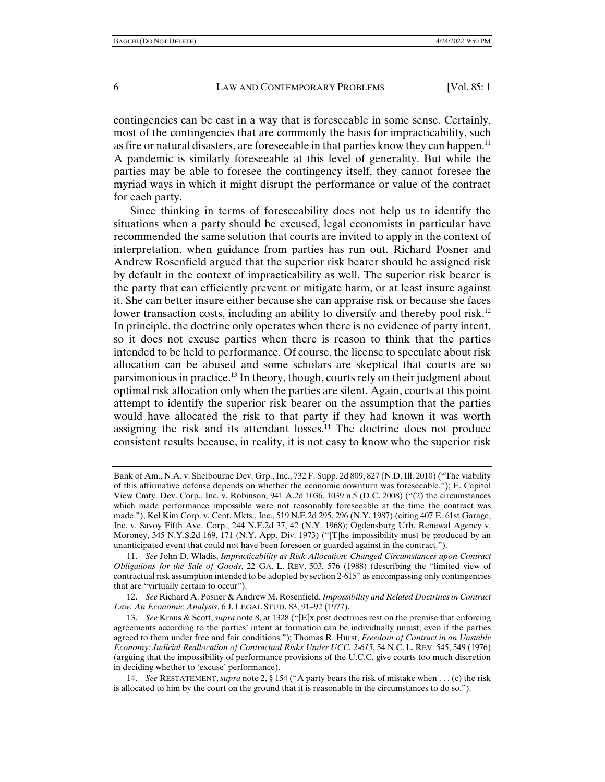contingencies can be cast in a way that is foreseeable in some sense. Certainly, most of the contingencies that are commonly the basis for impracticability, such as fire or natural disasters, are foreseeable in that parties know they can happen.<sup>11</sup> A pandemic is similarly foreseeable at this level of generality. But while the parties may be able to foresee the contingency itself, they cannot foresee the myriad ways in which it might disrupt the performance or value of the contract for each party.

Since thinking in terms of foreseeability does not help us to identify the situations when a party should be excused, legal economists in particular have recommended the same solution that courts are invited to apply in the context of interpretation, when guidance from parties has run out. Richard Posner and Andrew Rosenfield argued that the superior risk bearer should be assigned risk by default in the context of impracticability as well. The superior risk bearer is the party that can efficiently prevent or mitigate harm, or at least insure against it. She can better insure either because she can appraise risk or because she faces lower transaction costs, including an ability to diversify and thereby pool risk.<sup>12</sup> In principle, the doctrine only operates when there is no evidence of party intent, so it does not excuse parties when there is reason to think that the parties intended to be held to performance. Of course, the license to speculate about risk allocation can be abused and some scholars are skeptical that courts are so parsimonious in practice.<sup>13</sup> In theory, though, courts rely on their judgment about optimal risk allocation only when the parties are silent. Again, courts at this point attempt to identify the superior risk bearer on the assumption that the parties would have allocated the risk to that party if they had known it was worth assigning the risk and its attendant  $losses<sup>14</sup>$ . The doctrine does not produce consistent results because, in reality, it is not easy to know who the superior risk

 12. *See* Richard A. Posner & Andrew M. Rosenfield, *Impossibility and Related Doctrines in Contract Law: An Economic Analysis*, 6 J. LEGAL STUD. 83, 91–92 (1977).

Bank of Am., N.A. v. Shelbourne Dev. Grp., Inc., 732 F. Supp. 2d 809, 827 (N.D. Ill. 2010) ("The viability of this affirmative defense depends on whether the economic downturn was foreseeable."); E. Capitol View Cmty. Dev. Corp., Inc. v. Robinson, 941 A.2d 1036, 1039 n.5 (D.C. 2008) ("(2) the circumstances which made performance impossible were not reasonably foreseeable at the time the contract was made."); Kel Kim Corp. v. Cent. Mkts., Inc., 519 N.E.2d 295, 296 (N.Y. 1987) (citing 407 E. 61st Garage, Inc. v. Savoy Fifth Ave. Corp., 244 N.E.2d 37, 42 (N.Y. 1968); Ogdensburg Urb. Renewal Agency v. Moroney, 345 N.Y.S.2d 169, 171 (N.Y. App. Div. 1973) ("[T]he impossibility must be produced by an unanticipated event that could not have been foreseen or guarded against in the contract.").

 <sup>11.</sup> *See* John D. Wladis, *Impracticability as Risk Allocation: Changed Circumstances upon Contract Obligations for the Sale of Goods*, 22 GA. L. REV. 503, 576 (1988) (describing the "limited view of contractual risk assumption intended to be adopted by section 2-615" as encompassing only contingencies that are "virtually certain to occur").

 <sup>13.</sup> *See* Kraus & Scott, *supra* note 8, at 1328 ("[E]x post doctrines rest on the premise that enforcing agreements according to the parties' intent at formation can be individually unjust, even if the parties agreed to them under free and fair conditions."); Thomas R. Hurst, *Freedom of Contract in an Unstable Economy: Judicial Reallocation of Contractual Risks Under UCC. 2-615*, 54 N.C. L. REV. 545, 549 (1976) (arguing that the impossibility of performance provisions of the U.C.C. give courts too much discretion in deciding whether to 'excuse' performance).

 <sup>14.</sup> *See* RESTATEMENT, *supra* note 2, § 154 ("A party bears the risk of mistake when . . . (c) the risk is allocated to him by the court on the ground that it is reasonable in the circumstances to do so.").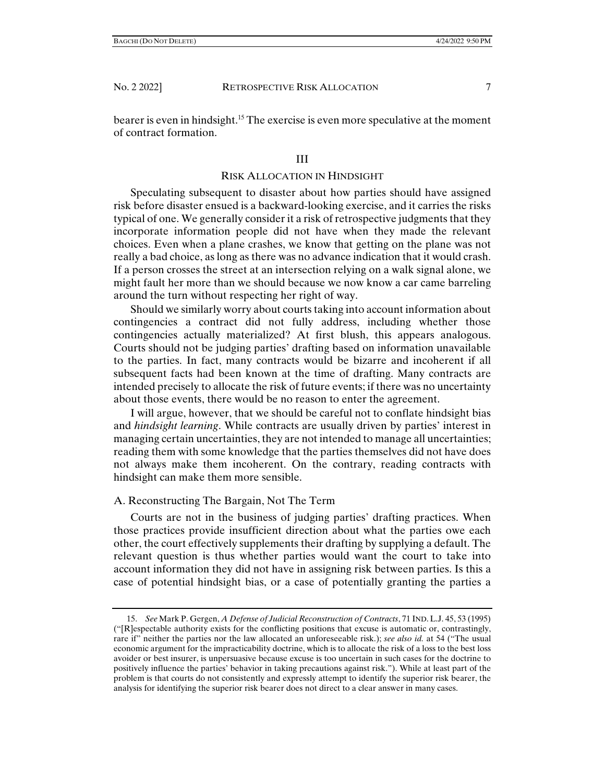bearer is even in hindsight.<sup>15</sup> The exercise is even more speculative at the moment of contract formation.

# III

### RISK ALLOCATION IN HINDSIGHT

Speculating subsequent to disaster about how parties should have assigned risk before disaster ensued is a backward-looking exercise, and it carries the risks typical of one. We generally consider it a risk of retrospective judgments that they incorporate information people did not have when they made the relevant choices. Even when a plane crashes, we know that getting on the plane was not really a bad choice, as long as there was no advance indication that it would crash. If a person crosses the street at an intersection relying on a walk signal alone, we might fault her more than we should because we now know a car came barreling around the turn without respecting her right of way.

Should we similarly worry about courts taking into account information about contingencies a contract did not fully address, including whether those contingencies actually materialized? At first blush, this appears analogous. Courts should not be judging parties' drafting based on information unavailable to the parties. In fact, many contracts would be bizarre and incoherent if all subsequent facts had been known at the time of drafting. Many contracts are intended precisely to allocate the risk of future events; if there was no uncertainty about those events, there would be no reason to enter the agreement.

I will argue, however, that we should be careful not to conflate hindsight bias and *hindsight learning*. While contracts are usually driven by parties' interest in managing certain uncertainties, they are not intended to manage all uncertainties; reading them with some knowledge that the parties themselves did not have does not always make them incoherent. On the contrary, reading contracts with hindsight can make them more sensible.

# A. Reconstructing The Bargain, Not The Term

Courts are not in the business of judging parties' drafting practices. When those practices provide insufficient direction about what the parties owe each other, the court effectively supplements their drafting by supplying a default. The relevant question is thus whether parties would want the court to take into account information they did not have in assigning risk between parties. Is this a case of potential hindsight bias, or a case of potentially granting the parties a

 <sup>15.</sup> *See* Mark P. Gergen, *A Defense of Judicial Reconstruction of Contracts*, 71 IND.L.J. 45, 53 (1995) ("[R]espectable authority exists for the conflicting positions that excuse is automatic or, contrastingly, rare if" neither the parties nor the law allocated an unforeseeable risk.); *see also id.* at 54 ("The usual economic argument for the impracticability doctrine, which is to allocate the risk of a loss to the best loss avoider or best insurer, is unpersuasive because excuse is too uncertain in such cases for the doctrine to positively influence the parties' behavior in taking precautions against risk."). While at least part of the problem is that courts do not consistently and expressly attempt to identify the superior risk bearer, the analysis for identifying the superior risk bearer does not direct to a clear answer in many cases.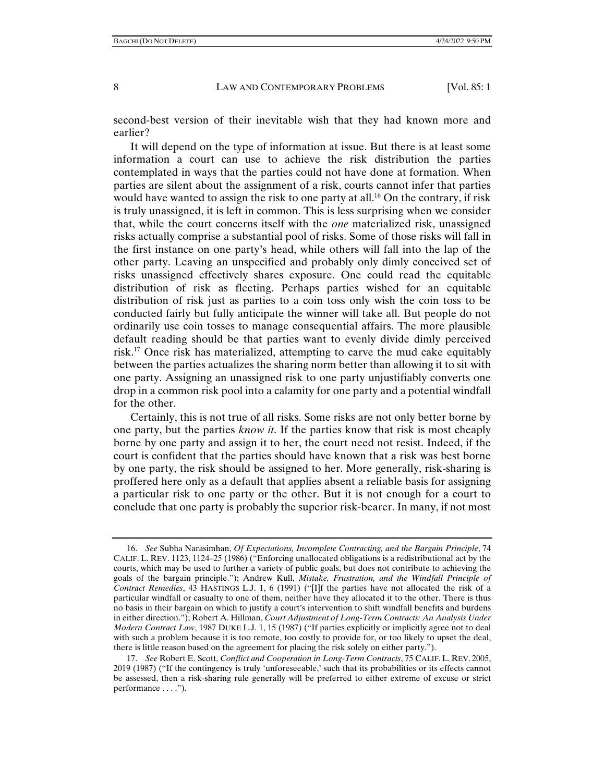second-best version of their inevitable wish that they had known more and earlier?

It will depend on the type of information at issue. But there is at least some information a court can use to achieve the risk distribution the parties contemplated in ways that the parties could not have done at formation. When parties are silent about the assignment of a risk, courts cannot infer that parties would have wanted to assign the risk to one party at all.<sup>16</sup> On the contrary, if risk is truly unassigned, it is left in common. This is less surprising when we consider that, while the court concerns itself with the *one* materialized risk, unassigned risks actually comprise a substantial pool of risks. Some of those risks will fall in the first instance on one party's head, while others will fall into the lap of the other party. Leaving an unspecified and probably only dimly conceived set of risks unassigned effectively shares exposure. One could read the equitable distribution of risk as fleeting. Perhaps parties wished for an equitable distribution of risk just as parties to a coin toss only wish the coin toss to be conducted fairly but fully anticipate the winner will take all. But people do not ordinarily use coin tosses to manage consequential affairs. The more plausible default reading should be that parties want to evenly divide dimly perceived risk.17 Once risk has materialized, attempting to carve the mud cake equitably between the parties actualizes the sharing norm better than allowing it to sit with one party. Assigning an unassigned risk to one party unjustifiably converts one drop in a common risk pool into a calamity for one party and a potential windfall for the other.

Certainly, this is not true of all risks. Some risks are not only better borne by one party, but the parties *know it*. If the parties know that risk is most cheaply borne by one party and assign it to her, the court need not resist. Indeed, if the court is confident that the parties should have known that a risk was best borne by one party, the risk should be assigned to her. More generally, risk-sharing is proffered here only as a default that applies absent a reliable basis for assigning a particular risk to one party or the other. But it is not enough for a court to conclude that one party is probably the superior risk-bearer. In many, if not most

 <sup>16.</sup> *See* Subha Narasimhan, *Of Expectations, Incomplete Contracting, and the Bargain Principle*, 74 CALIF. L. REV. 1123, 1124–25 (1986) ("Enforcing unallocated obligations is a redistributional act by the courts, which may be used to further a variety of public goals, but does not contribute to achieving the goals of the bargain principle."); Andrew Kull, *Mistake, Frustration, and the Windfall Principle of Contract Remedies*, 43 HASTINGS L.J. 1, 6 (1991) ("[I]f the parties have not allocated the risk of a particular windfall or casualty to one of them, neither have they allocated it to the other. There is thus no basis in their bargain on which to justify a court's intervention to shift windfall benefits and burdens in either direction."); Robert A. Hillman, *Court Adjustment of Long-Term Contracts: An Analysis Under Modern Contract Law*, 1987 DUKE L.J. 1, 15 (1987) ("If parties explicitly or implicitly agree not to deal with such a problem because it is too remote, too costly to provide for, or too likely to upset the deal, there is little reason based on the agreement for placing the risk solely on either party.").

 <sup>17.</sup> *See* Robert E. Scott, *Conflict and Cooperation in Long-Term Contracts*, 75 CALIF. L. REV. 2005, 2019 (1987) ("If the contingency is truly 'unforeseeable,' such that its probabilities or its effects cannot be assessed, then a risk-sharing rule generally will be preferred to either extreme of excuse or strict performance . . . .").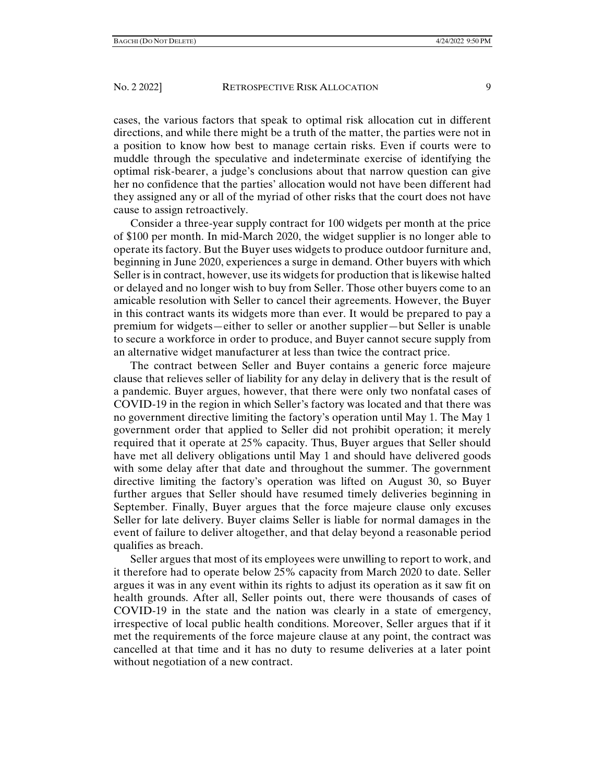cases, the various factors that speak to optimal risk allocation cut in different directions, and while there might be a truth of the matter, the parties were not in a position to know how best to manage certain risks. Even if courts were to muddle through the speculative and indeterminate exercise of identifying the optimal risk-bearer, a judge's conclusions about that narrow question can give her no confidence that the parties' allocation would not have been different had they assigned any or all of the myriad of other risks that the court does not have cause to assign retroactively.

Consider a three-year supply contract for 100 widgets per month at the price of \$100 per month. In mid-March 2020, the widget supplier is no longer able to operate its factory. But the Buyer uses widgets to produce outdoor furniture and, beginning in June 2020, experiences a surge in demand. Other buyers with which Seller is in contract, however, use its widgets for production that is likewise halted or delayed and no longer wish to buy from Seller. Those other buyers come to an amicable resolution with Seller to cancel their agreements. However, the Buyer in this contract wants its widgets more than ever. It would be prepared to pay a premium for widgets—either to seller or another supplier—but Seller is unable to secure a workforce in order to produce, and Buyer cannot secure supply from an alternative widget manufacturer at less than twice the contract price.

The contract between Seller and Buyer contains a generic force majeure clause that relieves seller of liability for any delay in delivery that is the result of a pandemic. Buyer argues, however, that there were only two nonfatal cases of COVID-19 in the region in which Seller's factory was located and that there was no government directive limiting the factory's operation until May 1. The May 1 government order that applied to Seller did not prohibit operation; it merely required that it operate at 25% capacity. Thus, Buyer argues that Seller should have met all delivery obligations until May 1 and should have delivered goods with some delay after that date and throughout the summer. The government directive limiting the factory's operation was lifted on August 30, so Buyer further argues that Seller should have resumed timely deliveries beginning in September. Finally, Buyer argues that the force majeure clause only excuses Seller for late delivery. Buyer claims Seller is liable for normal damages in the event of failure to deliver altogether, and that delay beyond a reasonable period qualifies as breach.

Seller argues that most of its employees were unwilling to report to work, and it therefore had to operate below 25% capacity from March 2020 to date. Seller argues it was in any event within its rights to adjust its operation as it saw fit on health grounds. After all, Seller points out, there were thousands of cases of COVID-19 in the state and the nation was clearly in a state of emergency, irrespective of local public health conditions. Moreover, Seller argues that if it met the requirements of the force majeure clause at any point, the contract was cancelled at that time and it has no duty to resume deliveries at a later point without negotiation of a new contract.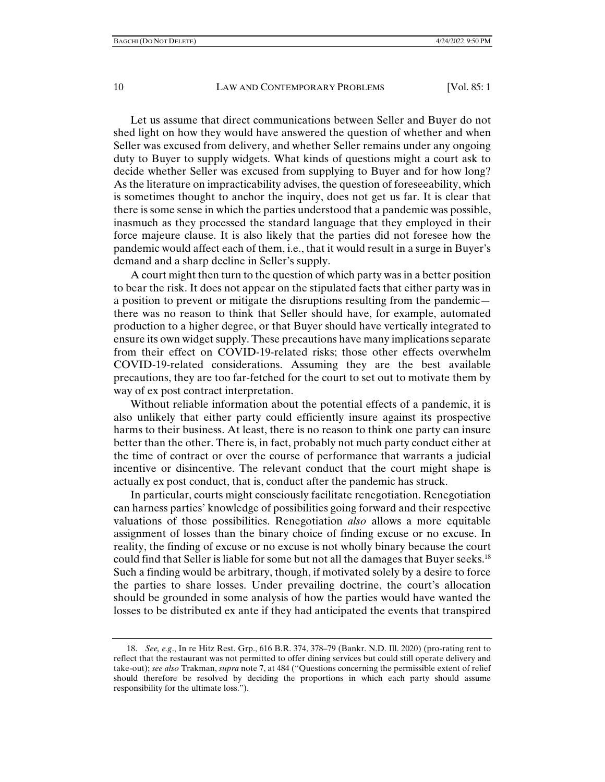Let us assume that direct communications between Seller and Buyer do not shed light on how they would have answered the question of whether and when Seller was excused from delivery, and whether Seller remains under any ongoing duty to Buyer to supply widgets. What kinds of questions might a court ask to decide whether Seller was excused from supplying to Buyer and for how long? As the literature on impracticability advises, the question of foreseeability, which is sometimes thought to anchor the inquiry, does not get us far. It is clear that there is some sense in which the parties understood that a pandemic was possible, inasmuch as they processed the standard language that they employed in their force majeure clause. It is also likely that the parties did not foresee how the pandemic would affect each of them, i.e., that it would result in a surge in Buyer's demand and a sharp decline in Seller's supply.

A court might then turn to the question of which party was in a better position to bear the risk. It does not appear on the stipulated facts that either party was in a position to prevent or mitigate the disruptions resulting from the pandemic there was no reason to think that Seller should have, for example, automated production to a higher degree, or that Buyer should have vertically integrated to ensure its own widget supply. These precautions have many implications separate from their effect on COVID-19-related risks; those other effects overwhelm COVID-19-related considerations. Assuming they are the best available precautions, they are too far-fetched for the court to set out to motivate them by way of ex post contract interpretation.

Without reliable information about the potential effects of a pandemic, it is also unlikely that either party could efficiently insure against its prospective harms to their business. At least, there is no reason to think one party can insure better than the other. There is, in fact, probably not much party conduct either at the time of contract or over the course of performance that warrants a judicial incentive or disincentive. The relevant conduct that the court might shape is actually ex post conduct, that is, conduct after the pandemic has struck.

In particular, courts might consciously facilitate renegotiation. Renegotiation can harness parties' knowledge of possibilities going forward and their respective valuations of those possibilities. Renegotiation *also* allows a more equitable assignment of losses than the binary choice of finding excuse or no excuse. In reality, the finding of excuse or no excuse is not wholly binary because the court could find that Seller is liable for some but not all the damages that Buyer seeks.<sup>18</sup> Such a finding would be arbitrary, though, if motivated solely by a desire to force the parties to share losses. Under prevailing doctrine, the court's allocation should be grounded in some analysis of how the parties would have wanted the losses to be distributed ex ante if they had anticipated the events that transpired

 <sup>18.</sup> *See, e.g*., In re Hitz Rest. Grp., 616 B.R. 374, 378–79 (Bankr. N.D. Ill. 2020) (pro-rating rent to reflect that the restaurant was not permitted to offer dining services but could still operate delivery and take-out); *see also* Trakman, *supra* note 7, at 484 ("Questions concerning the permissible extent of relief should therefore be resolved by deciding the proportions in which each party should assume responsibility for the ultimate loss.").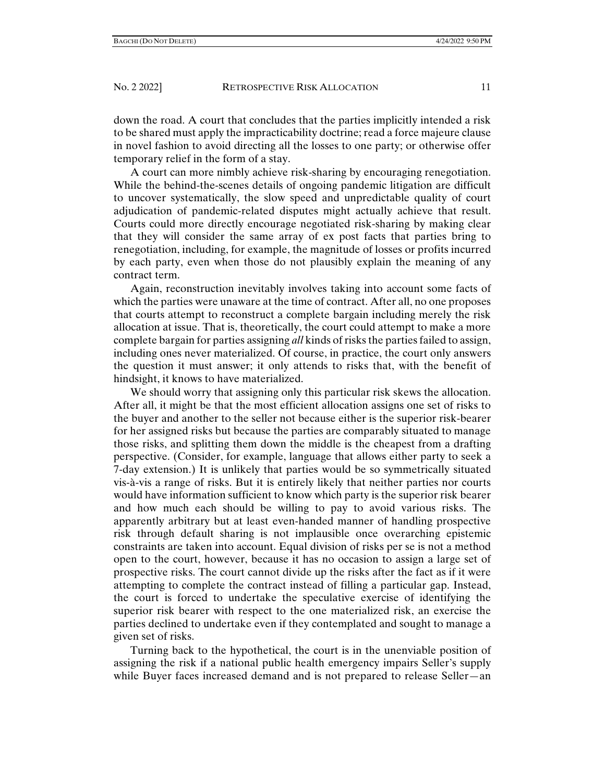down the road. A court that concludes that the parties implicitly intended a risk to be shared must apply the impracticability doctrine; read a force majeure clause in novel fashion to avoid directing all the losses to one party; or otherwise offer temporary relief in the form of a stay.

A court can more nimbly achieve risk-sharing by encouraging renegotiation. While the behind-the-scenes details of ongoing pandemic litigation are difficult to uncover systematically, the slow speed and unpredictable quality of court adjudication of pandemic-related disputes might actually achieve that result. Courts could more directly encourage negotiated risk-sharing by making clear that they will consider the same array of ex post facts that parties bring to renegotiation, including, for example, the magnitude of losses or profits incurred by each party, even when those do not plausibly explain the meaning of any contract term.

Again, reconstruction inevitably involves taking into account some facts of which the parties were unaware at the time of contract. After all, no one proposes that courts attempt to reconstruct a complete bargain including merely the risk allocation at issue. That is, theoretically, the court could attempt to make a more complete bargain for parties assigning *all* kinds of risks the parties failed to assign, including ones never materialized. Of course, in practice, the court only answers the question it must answer; it only attends to risks that, with the benefit of hindsight, it knows to have materialized.

We should worry that assigning only this particular risk skews the allocation. After all, it might be that the most efficient allocation assigns one set of risks to the buyer and another to the seller not because either is the superior risk-bearer for her assigned risks but because the parties are comparably situated to manage those risks, and splitting them down the middle is the cheapest from a drafting perspective. (Consider, for example, language that allows either party to seek a 7-day extension.) It is unlikely that parties would be so symmetrically situated vis-à-vis a range of risks. But it is entirely likely that neither parties nor courts would have information sufficient to know which party is the superior risk bearer and how much each should be willing to pay to avoid various risks. The apparently arbitrary but at least even-handed manner of handling prospective risk through default sharing is not implausible once overarching epistemic constraints are taken into account. Equal division of risks per se is not a method open to the court, however, because it has no occasion to assign a large set of prospective risks. The court cannot divide up the risks after the fact as if it were attempting to complete the contract instead of filling a particular gap. Instead, the court is forced to undertake the speculative exercise of identifying the superior risk bearer with respect to the one materialized risk, an exercise the parties declined to undertake even if they contemplated and sought to manage a given set of risks.

Turning back to the hypothetical, the court is in the unenviable position of assigning the risk if a national public health emergency impairs Seller's supply while Buyer faces increased demand and is not prepared to release Seller—an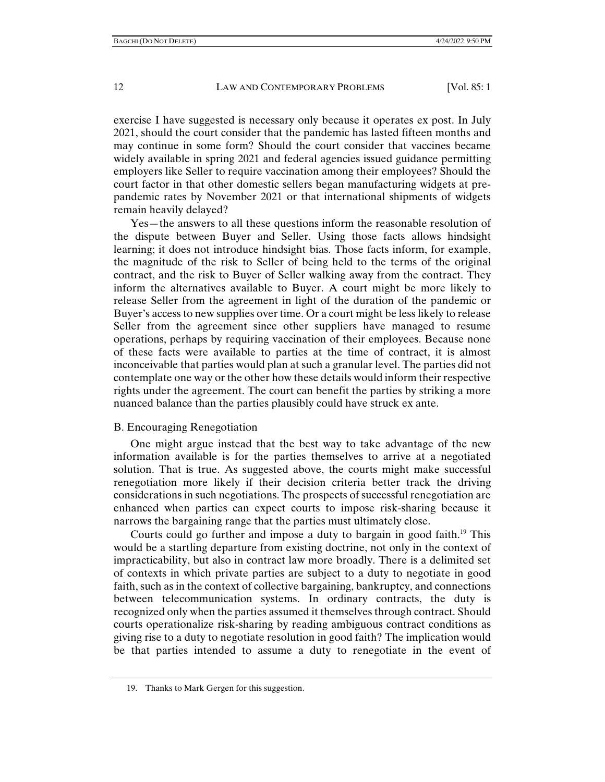exercise I have suggested is necessary only because it operates ex post. In July 2021, should the court consider that the pandemic has lasted fifteen months and may continue in some form? Should the court consider that vaccines became widely available in spring 2021 and federal agencies issued guidance permitting employers like Seller to require vaccination among their employees? Should the court factor in that other domestic sellers began manufacturing widgets at prepandemic rates by November 2021 or that international shipments of widgets remain heavily delayed?

Yes—the answers to all these questions inform the reasonable resolution of the dispute between Buyer and Seller. Using those facts allows hindsight learning; it does not introduce hindsight bias. Those facts inform, for example, the magnitude of the risk to Seller of being held to the terms of the original contract, and the risk to Buyer of Seller walking away from the contract. They inform the alternatives available to Buyer. A court might be more likely to release Seller from the agreement in light of the duration of the pandemic or Buyer's access to new supplies over time. Or a court might be less likely to release Seller from the agreement since other suppliers have managed to resume operations, perhaps by requiring vaccination of their employees. Because none of these facts were available to parties at the time of contract, it is almost inconceivable that parties would plan at such a granular level. The parties did not contemplate one way or the other how these details would inform their respective rights under the agreement. The court can benefit the parties by striking a more nuanced balance than the parties plausibly could have struck ex ante.

# B. Encouraging Renegotiation

One might argue instead that the best way to take advantage of the new information available is for the parties themselves to arrive at a negotiated solution. That is true. As suggested above, the courts might make successful renegotiation more likely if their decision criteria better track the driving considerations in such negotiations. The prospects of successful renegotiation are enhanced when parties can expect courts to impose risk-sharing because it narrows the bargaining range that the parties must ultimately close.

Courts could go further and impose a duty to bargain in good faith.<sup>19</sup> This would be a startling departure from existing doctrine, not only in the context of impracticability, but also in contract law more broadly. There is a delimited set of contexts in which private parties are subject to a duty to negotiate in good faith, such as in the context of collective bargaining, bankruptcy, and connections between telecommunication systems. In ordinary contracts, the duty is recognized only when the parties assumed it themselves through contract. Should courts operationalize risk-sharing by reading ambiguous contract conditions as giving rise to a duty to negotiate resolution in good faith? The implication would be that parties intended to assume a duty to renegotiate in the event of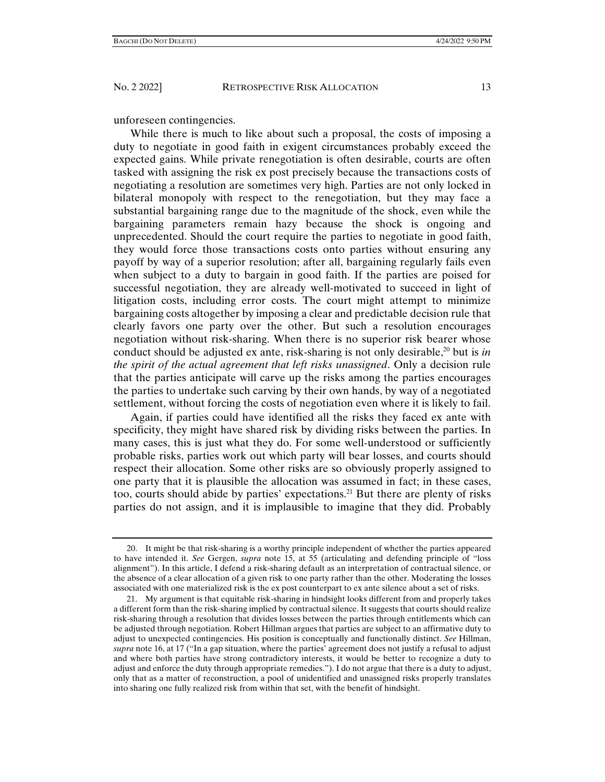unforeseen contingencies.

While there is much to like about such a proposal, the costs of imposing a duty to negotiate in good faith in exigent circumstances probably exceed the expected gains. While private renegotiation is often desirable, courts are often tasked with assigning the risk ex post precisely because the transactions costs of negotiating a resolution are sometimes very high. Parties are not only locked in bilateral monopoly with respect to the renegotiation, but they may face a substantial bargaining range due to the magnitude of the shock, even while the bargaining parameters remain hazy because the shock is ongoing and unprecedented. Should the court require the parties to negotiate in good faith, they would force those transactions costs onto parties without ensuring any payoff by way of a superior resolution; after all, bargaining regularly fails even when subject to a duty to bargain in good faith. If the parties are poised for successful negotiation, they are already well-motivated to succeed in light of litigation costs, including error costs. The court might attempt to minimize bargaining costs altogether by imposing a clear and predictable decision rule that clearly favors one party over the other. But such a resolution encourages negotiation without risk-sharing. When there is no superior risk bearer whose conduct should be adjusted ex ante, risk-sharing is not only desirable,<sup>20</sup> but is *in the spirit of the actual agreement that left risks unassigned*. Only a decision rule that the parties anticipate will carve up the risks among the parties encourages the parties to undertake such carving by their own hands, by way of a negotiated settlement, without forcing the costs of negotiation even where it is likely to fail.

Again, if parties could have identified all the risks they faced ex ante with specificity, they might have shared risk by dividing risks between the parties. In many cases, this is just what they do. For some well-understood or sufficiently probable risks, parties work out which party will bear losses, and courts should respect their allocation. Some other risks are so obviously properly assigned to one party that it is plausible the allocation was assumed in fact; in these cases, too, courts should abide by parties' expectations.21 But there are plenty of risks parties do not assign, and it is implausible to imagine that they did. Probably

 <sup>20.</sup> It might be that risk-sharing is a worthy principle independent of whether the parties appeared to have intended it. *See* Gergen, *supra* note 15, at 55 (articulating and defending principle of "loss alignment"). In this article, I defend a risk-sharing default as an interpretation of contractual silence, or the absence of a clear allocation of a given risk to one party rather than the other. Moderating the losses associated with one materialized risk is the ex post counterpart to ex ante silence about a set of risks.

 <sup>21.</sup> My argument is that equitable risk-sharing in hindsight looks different from and properly takes a different form than the risk-sharing implied by contractual silence. It suggests that courts should realize risk-sharing through a resolution that divides losses between the parties through entitlements which can be adjusted through negotiation. Robert Hillman argues that parties are subject to an affirmative duty to adjust to unexpected contingencies. His position is conceptually and functionally distinct. *See* Hillman, *supra* note 16, at 17 ("In a gap situation, where the parties' agreement does not justify a refusal to adjust and where both parties have strong contradictory interests, it would be better to recognize a duty to adjust and enforce the duty through appropriate remedies."). I do not argue that there is a duty to adjust, only that as a matter of reconstruction, a pool of unidentified and unassigned risks properly translates into sharing one fully realized risk from within that set, with the benefit of hindsight.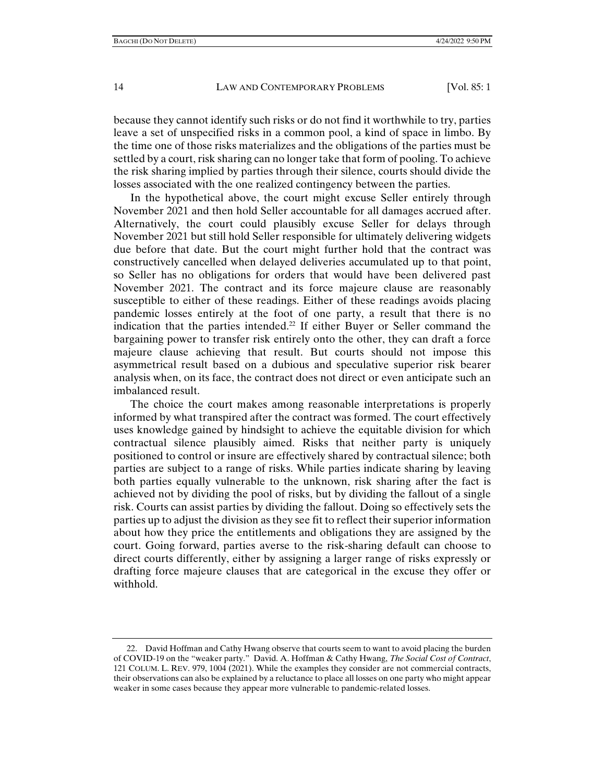because they cannot identify such risks or do not find it worthwhile to try, parties leave a set of unspecified risks in a common pool, a kind of space in limbo. By the time one of those risks materializes and the obligations of the parties must be settled by a court, risk sharing can no longer take that form of pooling. To achieve the risk sharing implied by parties through their silence, courts should divide the losses associated with the one realized contingency between the parties.

In the hypothetical above, the court might excuse Seller entirely through November 2021 and then hold Seller accountable for all damages accrued after. Alternatively, the court could plausibly excuse Seller for delays through November 2021 but still hold Seller responsible for ultimately delivering widgets due before that date. But the court might further hold that the contract was constructively cancelled when delayed deliveries accumulated up to that point, so Seller has no obligations for orders that would have been delivered past November 2021. The contract and its force majeure clause are reasonably susceptible to either of these readings. Either of these readings avoids placing pandemic losses entirely at the foot of one party, a result that there is no indication that the parties intended.<sup>22</sup> If either Buyer or Seller command the bargaining power to transfer risk entirely onto the other, they can draft a force majeure clause achieving that result. But courts should not impose this asymmetrical result based on a dubious and speculative superior risk bearer analysis when, on its face, the contract does not direct or even anticipate such an imbalanced result.

The choice the court makes among reasonable interpretations is properly informed by what transpired after the contract was formed. The court effectively uses knowledge gained by hindsight to achieve the equitable division for which contractual silence plausibly aimed. Risks that neither party is uniquely positioned to control or insure are effectively shared by contractual silence; both parties are subject to a range of risks. While parties indicate sharing by leaving both parties equally vulnerable to the unknown, risk sharing after the fact is achieved not by dividing the pool of risks, but by dividing the fallout of a single risk. Courts can assist parties by dividing the fallout. Doing so effectively sets the parties up to adjust the division as they see fit to reflect their superior information about how they price the entitlements and obligations they are assigned by the court. Going forward, parties averse to the risk-sharing default can choose to direct courts differently, either by assigning a larger range of risks expressly or drafting force majeure clauses that are categorical in the excuse they offer or withhold.

 <sup>22.</sup> David Hoffman and Cathy Hwang observe that courts seem to want to avoid placing the burden of COVID-19 on the "weaker party." David. A. Hoffman & Cathy Hwang, *The Social Cost of Contract*, 121 COLUM. L. REV. 979, 1004 (2021). While the examples they consider are not commercial contracts, their observations can also be explained by a reluctance to place all losses on one party who might appear weaker in some cases because they appear more vulnerable to pandemic-related losses.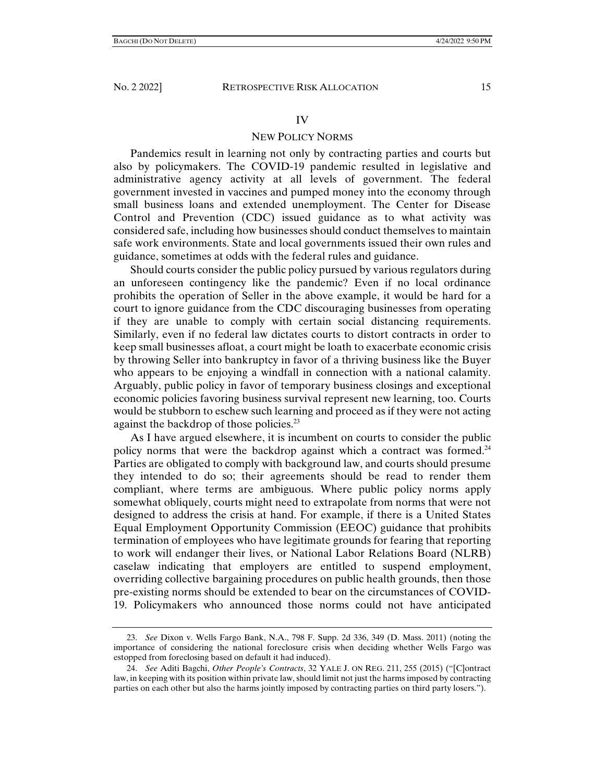#### IV

# NEW POLICY NORMS

Pandemics result in learning not only by contracting parties and courts but also by policymakers. The COVID-19 pandemic resulted in legislative and administrative agency activity at all levels of government. The federal government invested in vaccines and pumped money into the economy through small business loans and extended unemployment. The Center for Disease Control and Prevention (CDC) issued guidance as to what activity was considered safe, including how businesses should conduct themselves to maintain safe work environments. State and local governments issued their own rules and guidance, sometimes at odds with the federal rules and guidance.

Should courts consider the public policy pursued by various regulators during an unforeseen contingency like the pandemic? Even if no local ordinance prohibits the operation of Seller in the above example, it would be hard for a court to ignore guidance from the CDC discouraging businesses from operating if they are unable to comply with certain social distancing requirements. Similarly, even if no federal law dictates courts to distort contracts in order to keep small businesses afloat, a court might be loath to exacerbate economic crisis by throwing Seller into bankruptcy in favor of a thriving business like the Buyer who appears to be enjoying a windfall in connection with a national calamity. Arguably, public policy in favor of temporary business closings and exceptional economic policies favoring business survival represent new learning, too. Courts would be stubborn to eschew such learning and proceed as if they were not acting against the backdrop of those policies.<sup>23</sup>

As I have argued elsewhere, it is incumbent on courts to consider the public policy norms that were the backdrop against which a contract was formed.<sup>24</sup> Parties are obligated to comply with background law, and courts should presume they intended to do so; their agreements should be read to render them compliant, where terms are ambiguous. Where public policy norms apply somewhat obliquely, courts might need to extrapolate from norms that were not designed to address the crisis at hand. For example, if there is a United States Equal Employment Opportunity Commission (EEOC) guidance that prohibits termination of employees who have legitimate grounds for fearing that reporting to work will endanger their lives, or National Labor Relations Board (NLRB) caselaw indicating that employers are entitled to suspend employment, overriding collective bargaining procedures on public health grounds, then those pre-existing norms should be extended to bear on the circumstances of COVID-19. Policymakers who announced those norms could not have anticipated

 <sup>23.</sup> *See* Dixon v. Wells Fargo Bank, N.A., 798 F. Supp. 2d 336, 349 (D. Mass. 2011) (noting the importance of considering the national foreclosure crisis when deciding whether Wells Fargo was estopped from foreclosing based on default it had induced).

 <sup>24.</sup> *See* Aditi Bagchi, *Other People's Contracts*, 32 YALE J. ON REG. 211, 255 (2015) ("[C]ontract law, in keeping with its position within private law, should limit not just the harms imposed by contracting parties on each other but also the harms jointly imposed by contracting parties on third party losers.").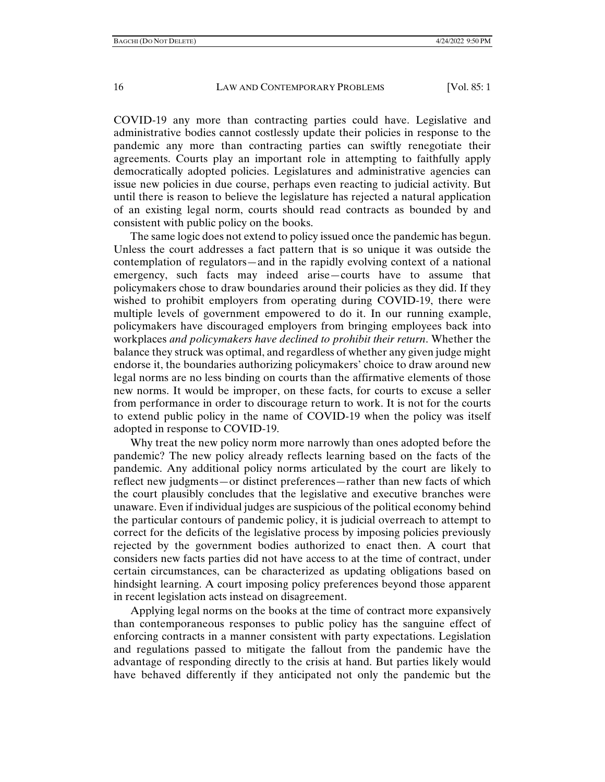COVID-19 any more than contracting parties could have. Legislative and administrative bodies cannot costlessly update their policies in response to the pandemic any more than contracting parties can swiftly renegotiate their agreements. Courts play an important role in attempting to faithfully apply democratically adopted policies. Legislatures and administrative agencies can issue new policies in due course, perhaps even reacting to judicial activity. But until there is reason to believe the legislature has rejected a natural application of an existing legal norm, courts should read contracts as bounded by and consistent with public policy on the books.

The same logic does not extend to policy issued once the pandemic has begun. Unless the court addresses a fact pattern that is so unique it was outside the contemplation of regulators—and in the rapidly evolving context of a national emergency, such facts may indeed arise—courts have to assume that policymakers chose to draw boundaries around their policies as they did. If they wished to prohibit employers from operating during COVID-19, there were multiple levels of government empowered to do it. In our running example, policymakers have discouraged employers from bringing employees back into workplaces *and policymakers have declined to prohibit their return*. Whether the balance they struck was optimal, and regardless of whether any given judge might endorse it, the boundaries authorizing policymakers' choice to draw around new legal norms are no less binding on courts than the affirmative elements of those new norms. It would be improper, on these facts, for courts to excuse a seller from performance in order to discourage return to work. It is not for the courts to extend public policy in the name of COVID-19 when the policy was itself adopted in response to COVID-19.

Why treat the new policy norm more narrowly than ones adopted before the pandemic? The new policy already reflects learning based on the facts of the pandemic. Any additional policy norms articulated by the court are likely to reflect new judgments—or distinct preferences—rather than new facts of which the court plausibly concludes that the legislative and executive branches were unaware. Even if individual judges are suspicious of the political economy behind the particular contours of pandemic policy, it is judicial overreach to attempt to correct for the deficits of the legislative process by imposing policies previously rejected by the government bodies authorized to enact then. A court that considers new facts parties did not have access to at the time of contract, under certain circumstances, can be characterized as updating obligations based on hindsight learning. A court imposing policy preferences beyond those apparent in recent legislation acts instead on disagreement.

Applying legal norms on the books at the time of contract more expansively than contemporaneous responses to public policy has the sanguine effect of enforcing contracts in a manner consistent with party expectations. Legislation and regulations passed to mitigate the fallout from the pandemic have the advantage of responding directly to the crisis at hand. But parties likely would have behaved differently if they anticipated not only the pandemic but the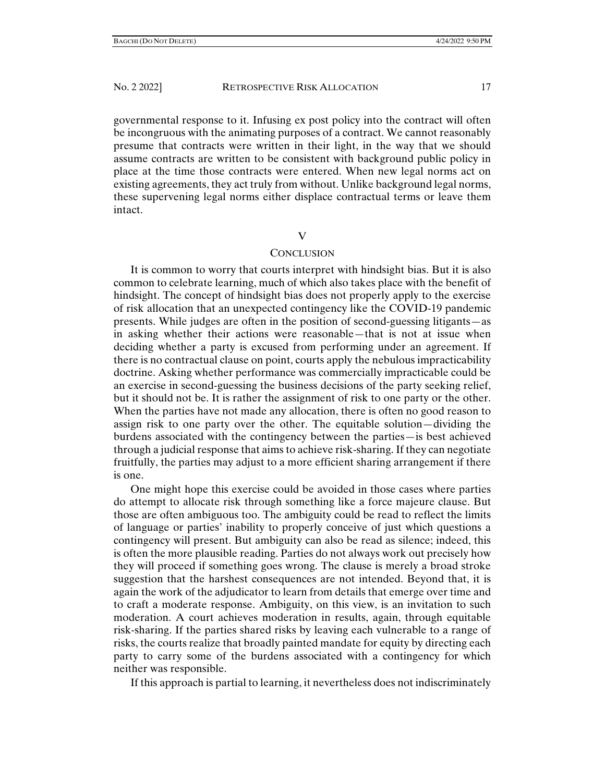governmental response to it. Infusing ex post policy into the contract will often be incongruous with the animating purposes of a contract. We cannot reasonably presume that contracts were written in their light, in the way that we should assume contracts are written to be consistent with background public policy in place at the time those contracts were entered. When new legal norms act on existing agreements, they act truly from without. Unlike background legal norms, these supervening legal norms either displace contractual terms or leave them intact.

### V

# CONCLUSION

It is common to worry that courts interpret with hindsight bias. But it is also common to celebrate learning, much of which also takes place with the benefit of hindsight. The concept of hindsight bias does not properly apply to the exercise of risk allocation that an unexpected contingency like the COVID-19 pandemic presents. While judges are often in the position of second-guessing litigants—as in asking whether their actions were reasonable—that is not at issue when deciding whether a party is excused from performing under an agreement. If there is no contractual clause on point, courts apply the nebulous impracticability doctrine. Asking whether performance was commercially impracticable could be an exercise in second-guessing the business decisions of the party seeking relief, but it should not be. It is rather the assignment of risk to one party or the other. When the parties have not made any allocation, there is often no good reason to assign risk to one party over the other. The equitable solution—dividing the burdens associated with the contingency between the parties—is best achieved through a judicial response that aims to achieve risk-sharing. If they can negotiate fruitfully, the parties may adjust to a more efficient sharing arrangement if there is one.

One might hope this exercise could be avoided in those cases where parties do attempt to allocate risk through something like a force majeure clause. But those are often ambiguous too. The ambiguity could be read to reflect the limits of language or parties' inability to properly conceive of just which questions a contingency will present. But ambiguity can also be read as silence; indeed, this is often the more plausible reading. Parties do not always work out precisely how they will proceed if something goes wrong. The clause is merely a broad stroke suggestion that the harshest consequences are not intended. Beyond that, it is again the work of the adjudicator to learn from details that emerge over time and to craft a moderate response. Ambiguity, on this view, is an invitation to such moderation. A court achieves moderation in results, again, through equitable risk-sharing. If the parties shared risks by leaving each vulnerable to a range of risks, the courts realize that broadly painted mandate for equity by directing each party to carry some of the burdens associated with a contingency for which neither was responsible.

If this approach is partial to learning, it nevertheless does not indiscriminately